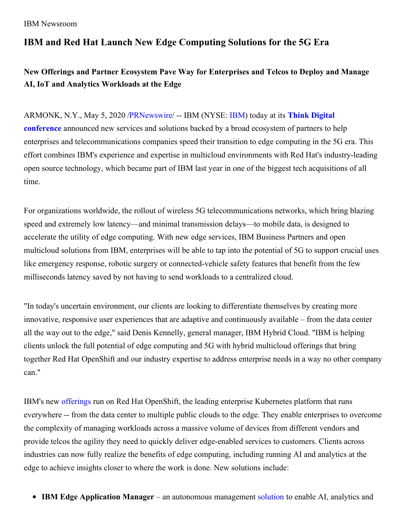# **IBM and Red Hat Launch New Edge Computing Solutions for the 5G Era**

## **New Offerings and Partner Ecosystem Pave Way for Enterprises and Telcos to Deploy and Manage AI, IoT and Analytics Workloads at the Edge**

ARMONK, N.Y., May 5, 2020 [/](https://c212.net/c/link/?t=0&l=en&o=2794545-1&h=1483034148&u=https%3A%2F%2Fwww.ibm.com%2Fevents%2Fthink%2F&a=Think+Digital+conference)[PRNewswir](http://www.prnewswire.com/)[e/](https://c212.net/c/link/?t=0&l=en&o=2794545-1&h=1483034148&u=https%3A%2F%2Fwww.ibm.com%2Fevents%2Fthink%2F&a=Think+Digital+conference) -- IBM (NYSE: [IBM](https://c212.net/c/link/?t=0&l=en&o=2794545-1&h=3171907147&u=http%3A%2F%2Fwww.ibm.com%2Finvestor&a=IBM)) today at its **Think Digital conference** announced new services and solutions backed by a broad ecosystem of partners to help enterprises and telecommunications companies speed their transition to edge computing in the 5G era. This effort combines IBM's experience and expertise in multicloud environments with Red Hat's industry-leading open source technology, which became part of IBM last year in one of the biggest tech acquisitions of all time.

For organizations worldwide, the rollout of wireless 5G telecommunications networks, which bring blazing speed and extremely low latency—and minimal transmission delays—to mobile data, is designed to accelerate the utility of edge computing. With new edge services, IBM Business Partners and open multicloud solutions from IBM, enterprises will be able to tap into the potential of 5G to support crucial uses like emergency response, robotic surgery or connected-vehicle safety features that benefit from the few milliseconds latency saved by not having to send workloads to a centralized cloud.

"In today's uncertain environment, our clients are looking to differentiate themselves by creating more innovative, responsive user experiences that are adaptive and continuously available – from the data center all the way out to the edge," said Denis Kennelly, general manager, IBM Hybrid Cloud. "IBM is helping clients unlock the full potential of edge computing and 5G with hybrid multicloud offerings that bring together Red Hat OpenShift and our industry expertise to address enterprise needs in a way no other company can."

IBM's new [offerings](https://c212.net/c/link/?t=0&l=en&o=2794545-1&h=471048216&u=http%3A%2F%2Fwww.ibm.com%2Fcloud%2Fedge-computing&a=offerings) run on Red Hat OpenShift, the leading enterprise Kubernetes platform that runs everywhere -- from the data center to multiple public clouds to the edge. They enable enterprises to overcome the complexity of managing workloads across a massive volume of devices from different vendors and provide telcos the agility they need to quickly deliver edge-enabled services to customers. Clients across industries can now fully realize the benefits of edge computing, including running AI and analytics at the edge to achieve insights closer to where the work is done. New solutions include:

**IBM Edge Application Manager** – an autonomous management [solution](https://c212.net/c/link/?t=0&l=en&o=2794545-1&h=1055419186&u=http%3A%2F%2Fwww.ibm.com%2Fcloud%2Fedge-application-manager&a=solution) to enable AI, analytics and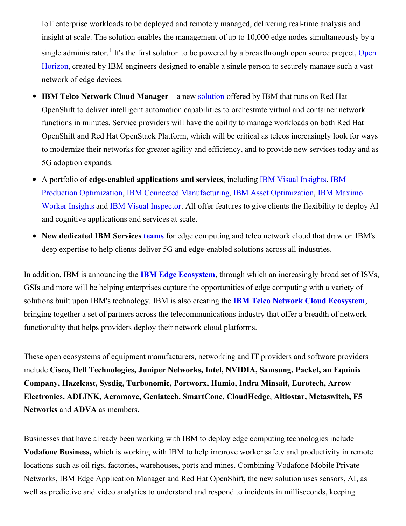IoT enterprise workloads to be deployed and remotely managed, delivering real-time analysis and insight at scale. The solution enables the management of up to 10,000 edge nodes simultaneously by a single [administrator.](https://c212.net/c/link/?t=0&l=en&o=2794545-1&h=2226597027&u=https%3A%2F%2Fdeveloper.ibm.com%2Fblogs%2Fopen-horizon-joins-linux-foundation-grow-open-edge-computing-platform%2F&a=Open+Horizon)<sup>1</sup> It's the first solution to be powered by a breakthrough open source project, Open Horizon, created by IBM engineers designed to enable a single person to securely manage such a vast network of edge devices.

- **IBM Telco Network Cloud Manager** a new [solution](https://c212.net/c/link/?t=0&l=en&o=2794545-1&h=1539122000&u=https%3A%2F%2Fwww.ibm.com%2Fcloud%2Ftelco-network-cloud-manager&a=solution) offered by IBM that runs on Red Hat  $\bullet$ OpenShift to deliver intelligent automation capabilities to orchestrate virtual and container network functions in minutes. Service providers will have the ability to manage workloads on both Red Hat OpenShift and Red Hat OpenStack Platform, which will be critical as telcos increasingly look for ways to modernize their networks for greater agility and efficiency, and to provide new services today and as 5G adoption expands.
- A portfolio of **edge-enabled applications and services**, including IBM Visual [Insights](https://c212.net/c/link/?t=0&l=en&o=2794545-1&h=2339367576&u=https%3A%2F%2Fwww.ibm.com%2Fus-en%2Fmarketplace%2Fibm-visual-insights&a=IBM+Visual+Insights), IBM Production Optimization, IBM Connected [Manufacturing,](https://c212.net/c/link/?t=0&l=en&o=2794545-1&h=3968215773&u=https%3A%2F%2Fwww.ibm.com%2Fservices%2Fprocess%2Fiot%2Fproduction-optimization&a=IBM+Production+Optimization) IBM Asset [Optimization](https://c212.net/c/link/?t=0&l=en&o=2794545-1&h=3924775608&u=https%3A%2F%2Fwww.ibm.com%2Findustries%2Findustrial%2Findustry-4-0&a=IBM+Asset+Optimization), IBM Maximo Worker Insights and IBM Visual [Inspector](https://c212.net/c/link/?t=0&l=en&o=2794545-1&h=1526717093&u=https%3A%2F%2Fwww.ibm.com%2Fproducts%2Fibm-visual-inspector&a=IBM+Visual+Inspector). All offer features to give clients the flexibility to deploy AI and cognitive applications and services at scale.
- **New dedicated IBM Services [teams](https://c212.net/c/link/?t=0&l=en&o=2794545-1&h=1281350068&u=https%3A%2F%2Fwww.ibm.com%2Fservices%2Fprocess%2Fedge-services&a=teams)** for edge computing and telco network cloud that draw on IBM's deep expertise to help clients deliver 5G and edge-enabled solutions across all industries.

In addition, IBM is announcing the **IBM Edge [Ecosystem](https://c212.net/c/link/?t=0&l=en&o=2794545-1&h=700552253&u=https%3A%2F%2Fwww.ibm.com%2Fblogs%2Fbusiness-partners%2Fjoin-the-edge-ecosystem&a=IBM+Edge+Ecosystem)**, through which an increasingly broad set of ISVs, GSIs and more will be helping enterprises capture the opportunities of edge computing with a variety of solutions built upon IBM's technology. IBM is also creating the **IBM Telco Network Cloud [Ecosystem](https://c212.net/c/link/?t=0&l=en&o=2794545-1&h=3415689408&u=https%3A%2F%2Fwww.ibm.com%2Fblogs%2Fbusiness-partners%2Fibm-telco-network-cloud-ecosystem&a=IBM%C2%A0Telco+Network+Cloud+Ecosystem)**, bringing together a set of partners across the telecommunications industry that offer a breadth of network functionality that helps providers deploy their network cloud platforms.

These open ecosystems of equipment manufacturers, networking and IT providers and software providers include **Cisco, Dell Technologies, Juniper Networks, Intel, NVIDIA, Samsung, Packet, an Equinix Company, Hazelcast, Sysdig, Turbonomic, Portworx, Humio, Indra Minsait, Eurotech, Arrow Electronics, ADLINK, Acromove, Geniatech, SmartCone, CloudHedge**, **Altiostar, Metaswitch, F5 Networks** and **ADVA** as members.

Businesses that have already been working with IBM to deploy edge computing technologies include **Vodafone Business,** which is working with IBM to help improve worker safety and productivity in remote locations such as oil rigs, factories, warehouses, ports and mines. Combining Vodafone Mobile Private Networks, IBM Edge Application Manager and Red Hat OpenShift, the new solution uses sensors, AI, as well as predictive and video analytics to understand and respond to incidents in milliseconds, keeping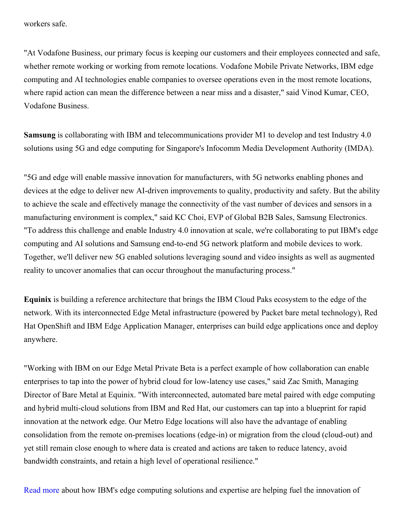workers safe.

"At Vodafone Business, our primary focus is keeping our customers and their employees connected and safe, whether remote working or working from remote locations. Vodafone Mobile Private Networks, IBM edge computing and AI technologies enable companies to oversee operations even in the most remote locations, where rapid action can mean the difference between a near miss and a disaster," said Vinod Kumar, CEO, Vodafone Business.

**Samsung** is collaborating with IBM and telecommunications provider M1 to develop and test Industry 4.0 solutions using 5G and edge computing for Singapore's Infocomm Media Development Authority (IMDA).

"5G and edge will enable massive innovation for manufacturers, with 5G networks enabling phones and devices at the edge to deliver new AI-driven improvements to quality, productivity and safety. But the ability to achieve the scale and effectively manage the connectivity of the vast number of devices and sensors in a manufacturing environment is complex," said KC Choi, EVP of Global B2B Sales, Samsung Electronics. "To address this challenge and enable Industry 4.0 innovation at scale, we're collaborating to put IBM's edge computing and AI solutions and Samsung end-to-end 5G network platform and mobile devices to work. Together, we'll deliver new 5G enabled solutions leveraging sound and video insights as well as augmented reality to uncover anomalies that can occur throughout the manufacturing process."

**Equinix** is building a reference architecture that brings the IBM Cloud Paks ecosystem to the edge of the network. With its interconnected Edge Metal infrastructure (powered by Packet bare metal technology), Red Hat OpenShift and IBM Edge Application Manager, enterprises can build edge applications once and deploy anywhere.

"Working with IBM on our Edge Metal Private Beta is a perfect example of how collaboration can enable enterprises to tap into the power of hybrid cloud for low-latency use cases," said Zac Smith, Managing Director of Bare Metal at Equinix. "With interconnected, automated bare metal paired with edge computing and hybrid multi-cloud solutions from IBM and Red Hat, our customers can tap into a blueprint for rapid innovation at the network edge. Our Metro Edge locations will also have the advantage of enabling consolidation from the remote on-premises locations (edge-in) or migration from the cloud (cloud-out) and yet still remain close enough to where data is created and actions are taken to reduce latency, avoid bandwidth constraints, and retain a high level of operational resilience."

Read [more](https://c212.net/c/link/?t=0&l=en&o=2794545-1&h=3756581822&u=https%3A%2F%2Fnewsroom.ibm.com%2Fimage%2FQuote-Sheet-for-Edge-5G-Announcement.pdf&a=Read+more) about how IBM's edge computing solutions and expertise are helping fuel the innovation of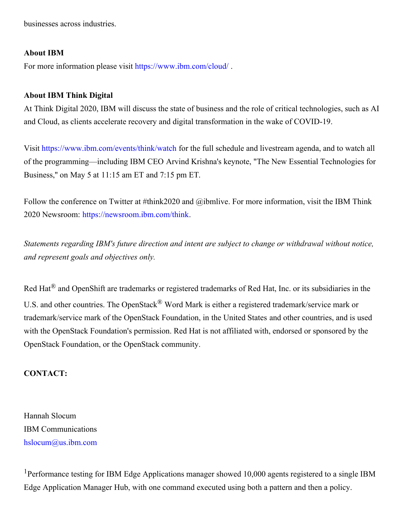businesses across industries.

#### **About IBM**

For more information please visit [https://www.ibm.com/cloud/](https://c212.net/c/link/?t=0&l=en&o=2794545-1&h=3062883289&u=https%3A%2F%2Fwww.ibm.com%2Fcloud%2F&a=https%3A%2F%2Fwww.ibm.com%2Fcloud%2F).

### **About IBM Think Digital**

At Think Digital 2020, IBM will discuss the state of business and the role of critical technologies, such as AI and Cloud, as clients accelerate recovery and digital transformation in the wake of COVID-19.

Visit [https://www.ibm.com/events/think/watch](https://c212.net/c/link/?t=0&l=en&o=2794545-1&h=2822456929&u=https%3A%2F%2Fwww.ibm.com%2Fevents%2Fthink%2Fwatch&a=https%3A%2F%2Fwww.ibm.com%2Fevents%2Fthink%2Fwatch) for the full schedule and livestream agenda, and to watch all of the programming—including IBM CEO Arvind Krishna's keynote, "The New Essential Technologies for Business,'' on May 5 at 11:15 am ET and 7:15 pm ET.

Follow the conference on Twitter at #think2020 and @ibmlive. For more information, visit the IBM Think 2020 Newsroom: [https://newsroom.ibm.com/think](https://c212.net/c/link/?t=0&l=en&o=2794545-1&h=1079378208&u=https%3A%2F%2Fc212.net%2Fc%2Flink%2F%3Ft%3D0%26l%3Den%26o%3D2374480-1%26h%3D1270497638%26u%3Dhttps%253A%252F%252Fnewsroom.ibm.com%252Fthink%26a%3Dhttps%253A%252F%252Fnewsroom.ibm.com%252Fthink&a=https%3A%2F%2Fnewsroom.ibm.com%2Fthink).

*Statements regarding IBM's future direction and intent are subject to change or withdrawal without notice, and represent goals and objectives only.*

Red Hat® and OpenShift are trademarks or registered trademarks of Red Hat, Inc. or its subsidiaries in the U.S. and other countries. The OpenStack<sup>®</sup> Word Mark is either a registered trademark/service mark or trademark/service mark of the OpenStack Foundation, in the United States and other countries, and is used with the OpenStack Foundation's permission. Red Hat is not affiliated with, endorsed or sponsored by the OpenStack Foundation, or the OpenStack community.

### **CONTACT:**

Hannah Slocum IBM Communications [hslocum@us.ibm.com](mailto:hslocum@us.ibm.com)

<sup>1</sup>Performance testing for IBM Edge Applications manager showed 10,000 agents registered to a single IBM Edge Application Manager Hub, with one command executed using both a pattern and then a policy.